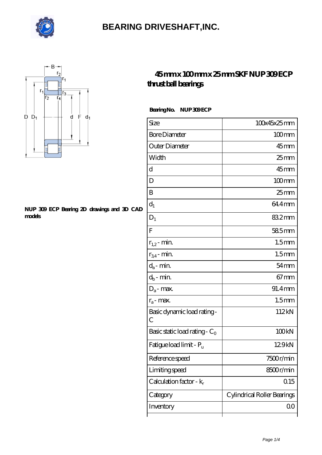



#### **[NUP 309 ECP Bearing 2D drawings and 3D CAD](https://m.visionsofzosimos.net/pic-65124357.html) [models](https://m.visionsofzosimos.net/pic-65124357.html)**

#### **[45 mm x 100 mm x 25 mm SKF NUP 309 ECP](https://m.visionsofzosimos.net/skf-nup-309-ecp-bearing/) [thrust ball bearings](https://m.visionsofzosimos.net/skf-nup-309-ecp-bearing/)**

Bearing No. NUP 309 ECP

| Size                                | 100x45x25mm                 |
|-------------------------------------|-----------------------------|
| <b>Bore Diameter</b>                | $100$ mm                    |
| Outer Diameter                      | $45$ <sub>mm</sub>          |
| Width                               | $25$ mm                     |
| d                                   | $45$ mm                     |
| D                                   | $100$ <sub>mm</sub>         |
| B                                   | $25$ mm                     |
| $d_1$                               | 64.4mm                      |
| $\mathbf{D}_1$                      | 832mm                       |
| ${\bf F}$                           | $585$ mm                    |
| $r_{1,2}$ - min.                    | 1.5 <sub>mm</sub>           |
| $r_{34}$ - min.                     | 1.5 <sub>mm</sub>           |
| $d_a$ - min.                        | $54$ mm                     |
| $d_b$ - min.                        | $67 \text{mm}$              |
| $D_a$ - max.                        | 91.4mm                      |
| $r_a$ - max.                        | 1.5 <sub>mm</sub>           |
| Basic dynamic load rating-<br>С     | 112kN                       |
| Basic static load rating - $C_0$    | 100 <sub>kN</sub>           |
| Fatigue load limit - P <sub>u</sub> | 129kN                       |
| Reference speed                     | 7500r/min                   |
| Limiting speed                      | 8500r/min                   |
| Calculation factor - $k_r$          | 0.15                        |
| Category                            | Cylindrical Roller Bearings |
| Inventory                           | 00                          |
|                                     |                             |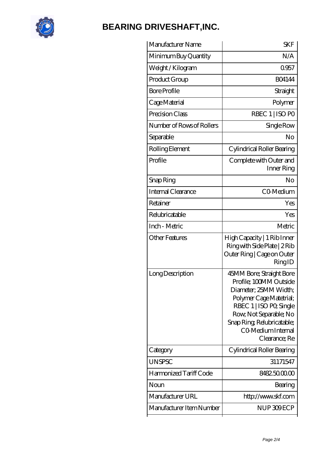

| Manufacturer Name         | <b>SKF</b>                                                                                                                                                                                                                       |
|---------------------------|----------------------------------------------------------------------------------------------------------------------------------------------------------------------------------------------------------------------------------|
| Minimum Buy Quantity      | N/A                                                                                                                                                                                                                              |
| Weight/Kilogram           | 0957                                                                                                                                                                                                                             |
| Product Group             | <b>BO4144</b>                                                                                                                                                                                                                    |
| <b>Bore Profile</b>       | Straight                                                                                                                                                                                                                         |
| Cage Material             | Polymer                                                                                                                                                                                                                          |
| Precision Class           | RBEC 1   ISO PO                                                                                                                                                                                                                  |
| Number of Rows of Rollers | Single Row                                                                                                                                                                                                                       |
| Separable                 | No                                                                                                                                                                                                                               |
| Rolling Element           | Cylindrical Roller Bearing                                                                                                                                                                                                       |
| Profile                   | Complete with Outer and<br>Inner Ring                                                                                                                                                                                            |
| Snap Ring                 | No                                                                                                                                                                                                                               |
| Internal Clearance        | CO-Medium                                                                                                                                                                                                                        |
| Retainer                  | Yes                                                                                                                                                                                                                              |
| Relubricatable            | Yes                                                                                                                                                                                                                              |
| Inch - Metric             | Metric                                                                                                                                                                                                                           |
| <b>Other Features</b>     | High Capacity   1 Rib Inner<br>Ring with Side Plate   2 Rib<br>Outer Ring   Cage on Outer<br>RingID                                                                                                                              |
| Long Description          | 45MM Bore; Straight Bore<br>Profile; 100MM Outside<br>Diameter; 25MM Width;<br>Polymer Cage Matetrial;<br>RBEC 1   ISO PO, Single<br>Row, Not Separable; No<br>Snap Ring, Relubricatable;<br>CO Medium Internal<br>Clearance; Re |
| Category                  | Cylindrical Roller Bearing                                                                                                                                                                                                       |
| <b>UNSPSC</b>             | 31171547                                                                                                                                                                                                                         |
| Harmonized Tariff Code    | 8482.5000.00                                                                                                                                                                                                                     |
| Noun                      | Bearing                                                                                                                                                                                                                          |
| Manufacturer URL          | http://www.skf.com                                                                                                                                                                                                               |
| Manufacturer Item Number  | NUP309ECP                                                                                                                                                                                                                        |
|                           |                                                                                                                                                                                                                                  |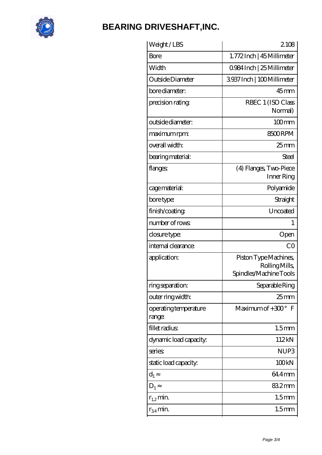

| Weight/LBS                      | 2108                                                             |
|---------------------------------|------------------------------------------------------------------|
| Bore                            | 1.772Inch   45 Millimeter                                        |
| Width                           | 0.984 Inch   25 Millimeter                                       |
| Outside Diameter                | 3937 Inch   100 Millimeter                                       |
| bore diameter:                  | $45$ mm                                                          |
| precision rating                | RBEC 1 (ISO Class<br>Normal)                                     |
| outside diameter:               | $100$ <sub>mm</sub>                                              |
| maximum rpm:                    | 8500RPM                                                          |
| overall width:                  | $25$ mm                                                          |
| bearing material:               | Steel                                                            |
| flanges:                        | (4) Flanges, Two-Piece<br>Inner Ring                             |
| cage material:                  | Polyamide                                                        |
| bore type:                      | Straight                                                         |
| finish/coating                  | Uncoated                                                         |
| number of rows                  | 1                                                                |
| closure type:                   | Open                                                             |
| internal clearance:             | CO                                                               |
| application:                    | Piston Type Machines,<br>Rolling Mills<br>Spindles/Machine Tools |
| ring separation:                | Separable Ring                                                   |
| outer ring width:               | 25 <sub>mm</sub>                                                 |
| operating temperature<br>range: | Maximum of $+300^\circ$ F                                        |
| fillet radius                   | 1.5 <sub>mm</sub>                                                |
| dynamic load capacity:          | 112kN                                                            |
| series                          | NUP <sub>3</sub>                                                 |
| static load capacity.           | 100 <sub>kN</sub>                                                |
| $d_1$                           | 64.4mm                                                           |
| $D_1$                           | 832mm                                                            |
| $r_{1,2}$ min.                  | 1.5 <sub>mm</sub>                                                |
| $r_{34}$ min.                   | 1.5 <sub>mm</sub>                                                |